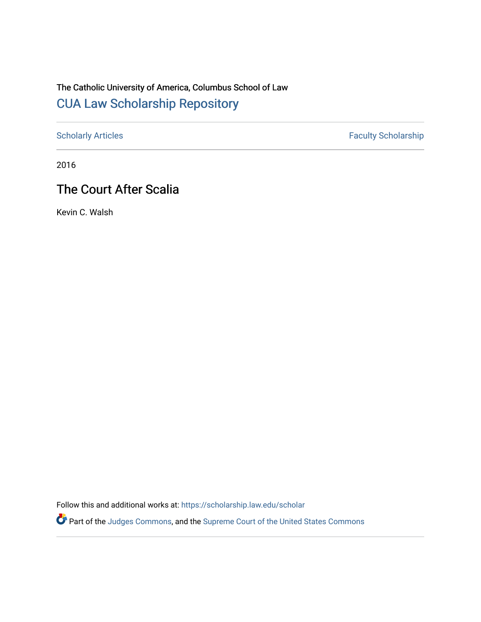## The Catholic University of America, Columbus School of Law [CUA Law Scholarship Repository](https://scholarship.law.edu/)

[Scholarly Articles](https://scholarship.law.edu/scholar) Faculty Scholarship

2016

## The Court After Scalia

Kevin C. Walsh

Follow this and additional works at: [https://scholarship.law.edu/scholar](https://scholarship.law.edu/scholar?utm_source=scholarship.law.edu%2Fscholar%2F1077&utm_medium=PDF&utm_campaign=PDFCoverPages)

Part of the [Judges Commons,](https://network.bepress.com/hgg/discipline/849?utm_source=scholarship.law.edu%2Fscholar%2F1077&utm_medium=PDF&utm_campaign=PDFCoverPages) and the [Supreme Court of the United States Commons](https://network.bepress.com/hgg/discipline/1350?utm_source=scholarship.law.edu%2Fscholar%2F1077&utm_medium=PDF&utm_campaign=PDFCoverPages)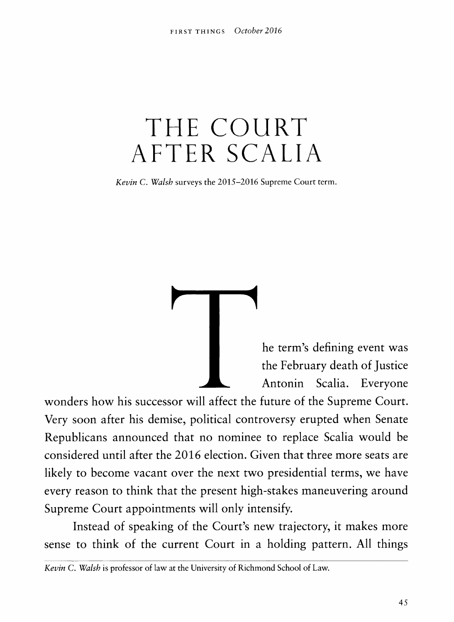## THE COURT AFTER SCALIA

*Kevin C. Walsh* surveys the 2015-2016 Supreme Court term.

he term's defining event was the February death of Justice Antonin Scalia. Everyone

wonders how his successor will affect the future of the Supreme Court. Very soon after his demise, political controversy erupted when Senate Republicans announced that no nominee to replace Scalia would be considered until after the 2016 election. Given that three more seats are likely to become vacant over the next two presidential terms, we have every reason to think that the present high-stakes maneuvering around Supreme Court appointments will only intensify..

Instead of speaking of the Court's new trajectory, it makes more sense to think of the current Court in a holding pattern. All things

*Kevin* C. *Walsh* is professor of law at the University of Richmond School of Law.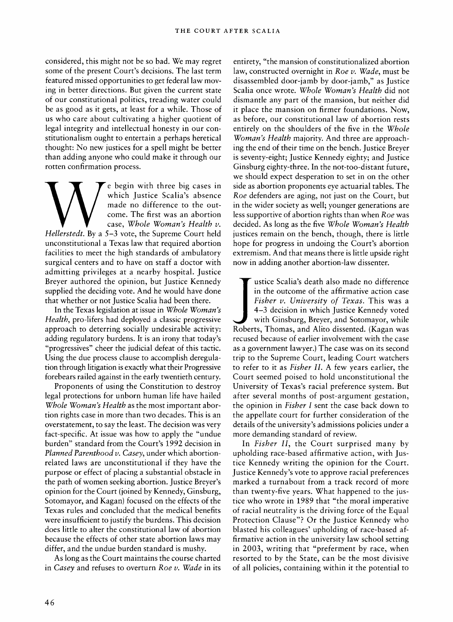considered, this might not be so bad. We may regret some of the present Court's decisions. The last term featured missed opportunities to get federal law moving in better directions. But given the current state of our constitutional politics, treading water could be as good as it gets, at least for a while. Those of us who care about cultivating a higher quotient of legal integrity and intellectual honesty in our constitutionalism ought to entertain a perhaps heretical thought: No new justices for a spell might be better than adding anyone who could make it through our rotten confirmation process.

e begin with three big cases in which Justice Scalia's absence made no difference to the outcome. The first was an abortion case, Whole Woman's Health v. *Hellerstedt.* By a 3-3 vote, the Supreme Court held unconstitutional a Texas law that required abortion facilities to meet the high standards of ambulatory surgical centers and to have on staff a doctor with admitting privileges at a nearby hospital. Justice Breyer authored the opinion, but Justice Kennedy supplied the deciding vote. And he would have done that whether or not Justice Scalia had been there.

In the Texas legislation at issue in *Whole Womaris Health*, pro-lifers had deployed a classic progressive approach to deterring socially undesirable activity: adding regulatory burdens. It is an irony that today's "progressives" cheer the judicial defeat of this tactic. Using the due process clause to accomplish deregulation through litigation is exactly what their Progressive forebears railed against in the early twentieth century.

Proponents of using the Constitution to destroy legal protections for unborn human life have hailed *Whole Womaris Health* as the most important abortion rights case in more than two decades. This is an overstatement, to say the least. The decision was very fact-specific. At issue was how to apply the "undue burden" standard from the Court's 1992 decision in *Planned Parenthood v. Casey*, under which abortionrelated laws are unconstitutional if they have the purpose or effect of placing a substantial obstacle in the path of women seeking abortion. Justice Breyer's opinion for the Court (joined by Kennedy, Ginsburg, Sotomayor, and Kagan) focused on the effects of the Texas rules and concluded that the medical benefits were insufficient to justify the burdens. This decision does little to alter the constitutional law of abortion because the effects of other state abortion laws may differ, and the undue burden standard is mushy.

As long as the Court maintains the course charted in *Casey* and refuses to overturn *Roe*  $\nu$ . *Wade* in its

entirety, "the mansion of constitutionalized abortion law, constructed overnight in *Roe v*. *Wade*, must be disassembled door-jamb by door-jamb," as Justice Scalia once wrote. *Whole Woman) Health* did not dismantle any part of the mansion, but neither did it place the mansion on firmer foundations. Now, as before, our constitutional law of abortion rests entirely on the shoulders of the five in the *Whole Womaris Health* majority. And three are approaching the end of their time on the bench. Justice Breyer is seventy-eight; Justice Kennedy eighty; and Justice Ginsburg eighty-three. In the not-too-distant future, we should expect desperation to set in on the other side as abortion proponents eye actuarial tables. The *Roe* defenders are aging, not just on the Court, but in the wider society as well; younger generations are less supportive of abortion rights than when *Roe* was decided. As long as the five *whole Womaris Health* justices remain on the bench, though, there is little hope for progress in undoing the Court's abortion extremism. And that means there is little upside right now in adding another abortion-law dissenter.

ustice Scalia's death also made no difference in the outcome of the affirmative action case *Fisher v. University of Texas.* This was a 4-3 decision in which Justice Kennedy voted with Ginsburg, Breyer, and Sotomayor, while Roberts, Thomas, and Alito dissented. (Kagan was recused because of earlier involvement with the case as a government lawyer.) The case was on its second trip to the Supreme Court, leading Court watchers to refer to it as *Fisher II.* A few years earlier, the Court seemed poised to hold unconstitutional the University of Texas's racial preference system. But after several months of post-argument gestation, the opinion in *Fisher I* sent the case back down to the appellate court for further consideration of the details of the university's admissions policies under a more demanding standard of review.

In *Fisher II*, the Court surprised many by upholding race-based affirmative action, with Justice Kennedy writing the opinion for the Court. Justice Kennedy's vote to approve racial preferences marked a turnabout from a track record of more than twenty-five years. What happened to the justice who wrote in 1989 that "the moral imperative of racial neutrality is the driving force of the Equal Protection Clause"? Or the Justice Kennedy who blasted his colleagues' upholding of race-based affirmative action in the university law school setting in 2003, writing that "preferment by race, when resorted to by the State, can be the most divisive of all policies, containing within it the potential to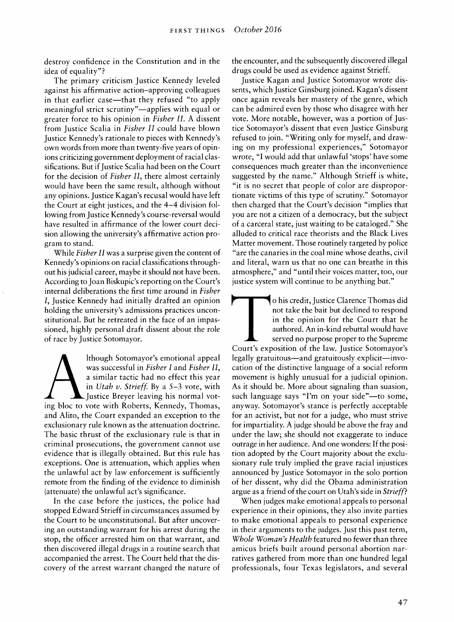destroy confidence in the Constitution and in the idea of equality"?

The primary criticism Justice Kennedy leveled against his affirmative action-approving colleagues in that earlier case—that they refused "to apply meaningful strict scrutiny"—applies with equal or greater force to his opinion in *Fisher II.* A dissent from Justice Scalia in *Fisher II* could have blown Justice Kennedy's rationale to pieces with Kennedy's own words from more than twenty-five years of opinions criticizing government deployment of racial classifications. But if Justice Scalia had been on the Court for the decision of *Fisher II,* there almost certainly would have been the same result, although without any opinions. Justice Kagan's recusal would have left the Court at eight justices, and the 4-4 division following from Justice Kennedy's course-reversal would have resulted in affirmance of the lower court decision allowing the university's affirmative action program to stand.

While *Fisher II* was a surprise given the content of Kennedy's opinions on racial classifications throughout his judicial career, maybe it should not have been. According to Joan Biskupic's reporting on the Court's internal deliberations the first time around in *Fisher I,* Justice Kennedy had initially drafted an opinion holding the university's admissions practices unconstitutional. But he retreated in the face of an impassioned, highly personal draft dissent about the role of race by Justice Sotomayor.

lthough Sotomayor's emotional appeal was successful in *Fisher I* and *Fisher II,* a similar tactic had no effect this year in *Utah v. Strieff*. By a 5-3 vote, with Justice Breyer leaving his normal voting bloc to vote with Roberts, Kennedy, Thomas, and Alito, the Court expanded an exception to the exclusionary rule known as the attenuation doctrine. The basic thrust of the exclusionary rule is that in criminal prosecutions, the government cannot use evidence that is illegally obtained. But this rule has exceptions. One is attenuation, which applies when the unlawful act by law enforcement is sufficiently remote from the finding of the evidence to diminish (attenuate) the unlawful act's significance.

In the case before the justices, the police had stopped Edward Strieff in circumstances assumed by the Court to be unconstitutional. But after uncovering an outstanding warrant for his arrest during the stop, the officer arrested him on that warrant, and then discovered illegal drugs in a routine search that accompanied the arrest. The Court held that the discovery of the arrest warrant changed the nature of the encounter, and the subsequently discovered illegal drugs could be used as evidence against Strieff.

Justice Kagan and Justice Sotomayor wrote dissents, which Justice Ginsburg joined. Kagan's dissent once again reveals her mastery of the genre, which can be admired even by those who disagree with her vote. More notable, however, was a portion of Justice Sotomayor's dissent that even Justice Ginsburg refused to join. "Writing only for myself, and drawing on my professional experiences," Sotomayor wrote, "I would add that unlawful 'stops' have some consequences much greater than the inconvenience suggested by the name." Although Strieff is white, "it is no secret that people of color are disproportionate victims of this type of scrutiny." Sotomayor then charged that the Court's decision "implies that you are not a citizen of a democracy, but the subject of a carceral state, just waiting to be cataloged." She alluded to critical race theorists and the Black Lives Matter movement. Those routinely targeted by police "are the canaries in the coal mine whose deaths, civil and literal, warn us that no one can breathe in this atmosphere," and "until their voices matter, too, our justice system will continue to be anything but."

o his credit. Justice Clarence Thomas did not take the bait but declined to respond in the opinion for the Court that he authored. An in-kind rebuttal would have served no purpose proper to the Supreme Court's exposition of the law. Justice Sotomayor's legally gratuitous—and gratuitously explicit—invocation of the distinctive language of a social reform movement is highly unusual for a judicial opinion. As it should be. More about signaling than suasion, such language says "I'm on your side"—to some, anyway. Sotomayor's stance is perfectly acceptable for an activist, but not for a judge, who must strive for impartiality. A judge should be above the fray and under the law; she should not exaggerate to induce outrage in her audience. And one wonders: If the position adopted by the Court majority about the exclusionary rule truly implied the grave racial injustices announced by Justice Sotomayor in the solo portion of her dissent, why did the Obama administration argue as a friend of the court on Utah's side in *Strieff*?

When judges make emotional appeals to personal experience in their opinions, they also invite parties to make emotional appeals to personal experience in their arguments to the judges. Just this past term. *Whole Woman's Health* featured no fewer than three amicus briefs built around personal abortion narratives gathered from more than one hundred legal professionals, four Texas legislators, and several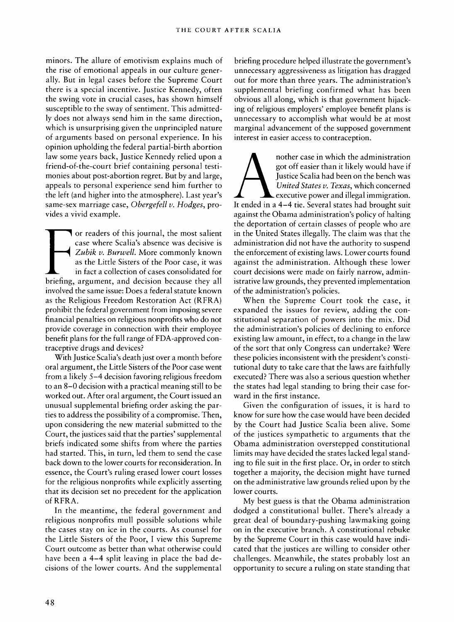minors. The allure of emotivism explains much of the rise of emotional appeals in our culture generally. But in legal cases before the Supreme Court there is a special incentive. Justice Kennedy, often the swing vote in crucial cases, has shown himself susceptible to the sway of sentiment. This admittedly does not always send him in the same direction, which is unsurprising given the unprincipled nature of arguments based on personal experience. In his opinion upholding the federal partial-birth abortion law some years back. Justice Kennedy relied upon a friend-of-the-court brief containing personal testimonies about post-abortion regret. But by and large, appeals to personal experience send him further to the left (and higher into the atmosphere). Last year's same-sex marriage case, *Obergefell v. Hodges*, provides a vivid example.

or readers of this journal, the most salient case where Scalia's absence was decisive is Zubik v. Burwell. More commonly known as the Little Sisters of the Poor case, it was in fact a collection of cases consolidated for briefing, argument, and decision because they all involved the same issue: Does a federal statute known as the Religious Freedom Restoration Act (RFRA) prohibit the federal government from imposing severe financial penalties on religious nonprofits who do not provide coverage in connection with their employee benefit plans for the full range of FDA-approved contraceptive drugs and devices?

With Justice Scalia's death just over a month before oral argument, the Little Sisters of the Poor case went from a likely 5-4 decision favoring religious freedom to an 8-0 decision with a practical meaning still to be worked out. After oral argument, the Courtissued an unusual supplemental briefing order asking the parties to address the possibility of a compromise. Then, upon considering the new material submitted to the Court, the justices said that the parties' supplemental briefs indicated some shifts from where the parties had started. This, in turn, led them to send the case back down to the lower courts for reconsideration. In essence, the Court's ruling erased lower court losses for the religious nonprofits while explicitly asserting that its decision set no precedent for the application of RFRA.

In the meantime, the federal government and religious nonprofits mull possible solutions while the cases stay on ice in the courts. As counsel for the Little Sisters of the Poor, I view this Supreme Court outcome as better than what otherwise could have been a 4–4 split leaving in place the bad decisions of the lower courts. And the supplemental briefing procedure helped illustrate the government's unnecessary aggressiveness as litigation has dragged out for more than three years. The administration's supplemental briefing confirmed what has been obvious all along, which is that government hijacking of religious employers' employee benefit plans is unnecessary to accomplish what would be at most marginal advancement of the supposed government interest in easier access to contraception.

nother case in which the administration got off easier than it likely would have if Justice Scalia had been on the bench was *United States v. Texas*, which concerned executive power and illegal immigration. It ended in a 4-4 tie. Several states had brought suit against the Obama administration's policy of halting the deportation of certain classes of people who are in the United States illegally. The claim was that the administration did not have the authority to suspend the enforcement of existing laws. Lower courts found against the administration. Although these lower court decisions were made on fairly narrow, administrative law grounds, they prevented implementation of the administration's policies.

When the Supreme Court took the case, it expanded the issues for review, adding the constitutional separation of powers into the mix. Did the administration's policies of declining to enforce existing law amount, in effect, to a change in the law of the sort that only Congress can undertake? Were these policies inconsistent with the president's constitutional duty to take care that the laws are faithfully executed? There was also a serious question whether the states had legal standing to bring their case forward in the first instance.

Given the configuration of issues, it is hard to know for sure how the case would have been decided by the Court had Justice Scalia been alive. Some of the justices sympathetic to arguments that the Obama administration overstepped constitutional limits may have decided the states lacked legal standing to file suit in the first place. Or, in order to stitch together a majority, the decision might have turned on the administrative law grounds relied upon by the lower courts.

My best guess is that the Obama administration dodged a constitutional bullet. There's already a great deal of boundary-pushing lawmaking going on in the executive branch. A constitutional rebuke by the Supreme Court in this case would have indicated that the justices are willing to consider other challenges. Meanwhile, the states probably lost an opportunity to secure a ruling on state standing that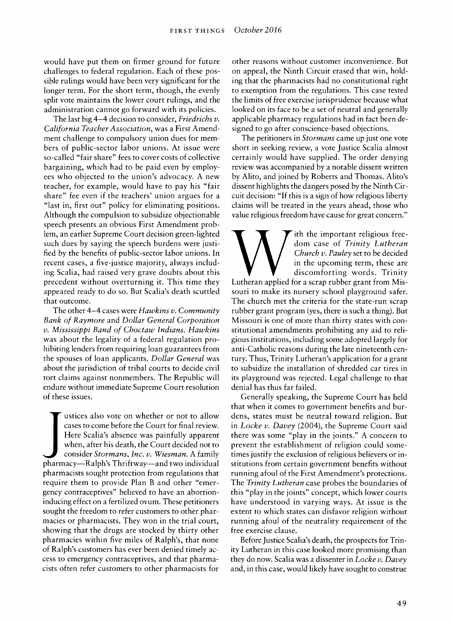would have put them on firmer ground for future challenges to federal regulation. Each of these possible rulings would have been very significant for the longer term. For the short term, though, the evenly split vote maintains the lower court rulings, and the administration cannot go forward with its policies.

The last big 4-4 decision to consider, *Friedrichs V. California Teacher Association*, was a First Amendment challenge to compulsory union dues for members of public-sector labor unions. At issue were so-called "fair share" fees to cover costs of collective bargaining, which had to be paid even by employees who objected to the union's advocacy. A new teacher, for example, would have to pay his "fair share" fee even if the teachers' union argues for a "last in, first out" policy for eliminating positions. Although the compulsion to subsidize objectionable speech presents an obvious First Amendment problem, an earlier Supreme Court decision green-lighted such dues by saying the speech burdens were justified by the benefits of public-sector labor unions. In recent cases, a five-justice majority, always including Scalia, had raised very grave doubts about this precedent without overturning it. This time they appeared ready to do so. But Scalia's death scuttled that outcome.

The other 4-4 cases were *Hawkins V. Community Bank ofRaymore* and *Dollar General Corporation υ. Mississippi Band of Choctaw Indians. Hawkins* was about the legality of a federal regulation prohibiting lenders from requiring loan guarantees from the spouses of loan applicants. *Dollar General* was about the jurisdiction of tribal courts to decide civil tort claims against nonmembers. The Republic will endure without immediate Supreme Court resolution of these issues.

ustices also vote on whether or not to allow cases to come before the Court for final review. Here Scalia's absence was painfully apparent when, after his death, the Court decided not to consider *Stormans, Inc. V. Wiesman.* A family pharmacy—Ralph's Thriftway—and two individual pharmacists sought protection from regulations that require them to provide Plan B and other "emergency contraceptives" believed to have an abortioninducing effect on a fertilized ovum. These petitioners sought the freedom to refer customers to other pharmacies or pharmacists. They won in the trial court, showing that the drugs are stocked by thirty other pharmacies within five miles of Ralph's, that none of Ralph's customers has ever been denied timely access to emergency contraceptives, and that pharmacists often refer customers to other pharmacists for

other reasons without customer inconvenience. But on appeal, the Ninth Circuit erased that win, holding that the pharmacists had no constitutional right to exemption from the regulations. This case tested the limits of free exercise jurisprudence because what looked on its face to be a set of neutral and generally applicable pharmacy regulations had in fact been designed to go after conscience-based objections.

The petitioners in *Stormans* came up just one vote short in seeking review, a vote Justice Scalia almost certainly would have supplied. The order denying review was accompanied by a notable dissent written by Alito, and joined by Roberts and Thomas. Alito's dissent highlights the dangers posed by the Ninth Circuit decision: "If this is a sign of how religious liberty claims will be treated in the years ahead, those who value religious freedom have cause for great concern."

ith the important religious freedom case of *Trinity Lutheran Church V. Pauley* set to be decided in the upcoming term, these are discomforting words. Trinity Lutheran applied for a scrap rubber grant from Missouri to make its nursery school playground safer. The church met the criteria for the state-run scrap rubber grant program (yes, there is such a thing). But Missouri is one of more than thirty states with constitutional amendments prohibiting any aid to religious institutions, including some adopted largely for anti-Catholic reasons during the late nineteenth century. Thus, Trinity Lutheran's application for a grant to subsidize the installation of shredded car tires in its playground was rejected. Legal challenge to that denial has thus far failed.

Generally speaking, the Supreme Court has held that when it comes to government benefits and burdens, states must be neutral toward religion. But in *Locke V. Davey* (2004), the Supreme Court said there was some "play in the joints." A concern to prevent the establishment of religion could sometimes justify the exclusion of religious believers or institutions from certain government benefits without running afoul of the First Amendment's protections. The *Trinity Lutheran* case probes the boundaries of this "play in the joints" concept, which lower courts have understood in varying ways. At issue is the extent to which states can disfavor religion without running afoul of the neutrality requirement of the free exercise clause.

Before Justice Scalia's death, the prospects for Trinity Lutheran in this case looked more promising than they do now. Scalia was a dissenter in *Locke V. Davey* and, in this case, would likely have sought to construe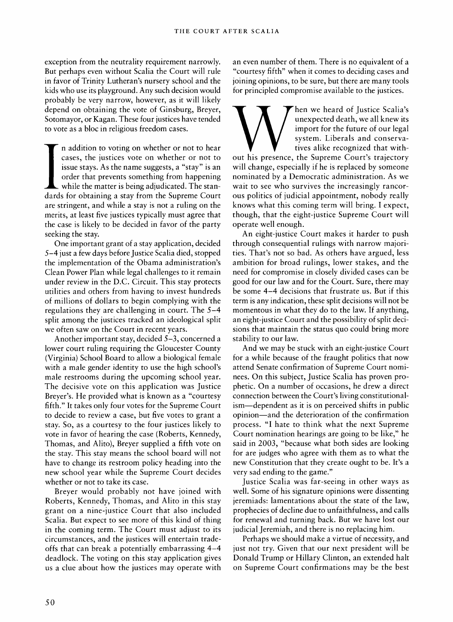exception from the neutrality requirement narrowly. But perhaps even without Scalia the Court will rule in favor of Trinity Lutheran's nursery school and the kids who use its playground. Any such decision would probably be very narrow, however, as it will likely depend on obtaining the vote of Ginsburg, Breyer, Sotomayor, or Kagan. These four justices have tended to vote as a bloc in religious freedom cases.

n addition to voting on whether or not to hear cases, the justices vote on whether or not to issue stays. As the name suggests, a "stay" is an order that prevents something from happening while the matter is being adjudicated. The standards for obtaining a stay from the Supreme Court are stringent, and while a stay is not a ruling on the merits, at least five justices typically must agree that the case is likely to be decided in favor of the party seeking the stay.

One important grant of a stay application, decided 3-4 just a few days before Justice Scalia died, stopped the implementation of the Obama administration's Clean Power Plan while legal challenges to it remain under review in the D.c. Circuit. This stay protects utilities and others from having to invest hundreds of millions of dollars to begin complying with the regulations they are challenging in court. The 3-4 split among the justices tracked an ideological split we often saw on the Court in recent years.

Another important stay, decided 3-3, concerned a lower court ruling requiring the Gloucester County (Virginia) School Board to allow a biological female with a male gender identity to use the high school's male restrooms during the upcoming school year. The decisive vote on this application was Justice Breyer's. He provided what is known as a "courtesy fifth." It takes only four votes for the Supreme Court to decide to review a case, but five votes to grant a stay. So, as a courtesy to the four justices likely to vote in favor of hearing the case (Roberts, Kennedy, Thomas, and Alito), Breyer supplied a fifth vote on the stay. This stay means the school board will not have to change its restroom policy heading into the new school year while the Supreme Court decides whether or not to take its case.

Breyer would probably not have joined with Roberts, Kennedy, Thomas, and Alito in this stay grant on a nine-justice Court that also included Scalia. But expect to see more of this kind of thing in the coming term. The Court must adjust to its circumstances, and the justices will entertain tradeoffs that can break a potentially embarrassing 4-4 deadlock. The voting on this stay application gives us a clue about how the justices may operate with an even number of them. There is no equivalent of a "courtesy fifth" when it comes to deciding cases and joining opinions, to be sure, but there are many tools for principled compromise available to the justices.

hen we heard of Justice Scalia's unexpected death, we all knew its import for the future of our legal system. Liberals and conservatives alike recognized that without his presence, the Supreme Court's trajectory will change, especially if he is replaced by someone nominated by a Democratic administration. As we wait to see who survives the increasingly rancorous politics of judicial appointment, nobody really knows what this coming term will bring. I expect, though, that the eight-justice Supreme Court will operate well enough.

An eight-justice Court makes it harder to push through consequential rulings with narrow majorities. That's not so bad. As others have argued, less ambition for broad rulings, lower stakes, and the need for compromise in closely divided cases can be good for our law and for the Court. Sure, there may be some 4-4 decisions that frustrate us. But if this term is any indication, these split decisions will not be momentous in what they do to the law. If anything, an eight-justice Court and the possibility of split decisions that maintain the status quo could bring more stability to our law.

And we may be stuck with an eight-justice Court for a while because of the fraught politics that now attend Senate confirmation of Supreme Court nominees. On this subject. Justice Scalia has proven prophetic. On a number of occasions, he drew a direct connection between the Court's living constitutionalism—dependent as it is on perceived shifts in public opinion—and the deterioration of the confirmation process. "I hate to think what the next Supreme Court nomination hearings are going to be like," he said in 2003, "because what both sides are looking for are judges who agree with them as to what the new Constitution that they create ought to be. It's a very sad ending to the game."

Justice Scalia was far-seeing in other ways as well. Some of his signature opinions were dissenting jeremiads: lamentations about the state of the law, prophecies of decline due to unfaithfulness, and calls for renewal and turning back. But we have lost our judicial Jeremiah, and there is no replacing him.

Perhaps we should make a virtue of necessity, and just not try. Given that our next president will be Donald Trump or Hillary Clinton, an extended halt on Supreme Court confirmations may be the best